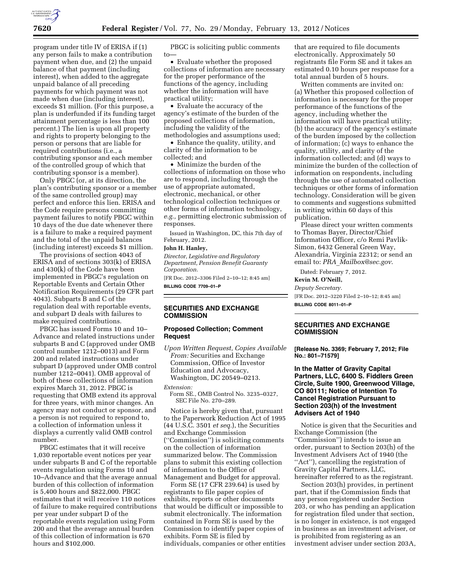

program under title IV of ERISA if (1) any person fails to make a contribution payment when due, and (2) the unpaid balance of that payment (including interest), when added to the aggregate unpaid balance of all preceding payments for which payment was not made when due (including interest), exceeds \$1 million. (For this purpose, a plan is underfunded if its funding target attainment percentage is less than 100 percent.) The lien is upon all property and rights to property belonging to the person or persons that are liable for required contributions (i.e., a contributing sponsor and each member of the controlled group of which that contributing sponsor is a member).

Only PBGC (or, at its direction, the plan's contributing sponsor or a member of the same controlled group) may perfect and enforce this lien. ERISA and the Code require persons committing payment failures to notify PBGC within 10 days of the due date whenever there is a failure to make a required payment and the total of the unpaid balances (including interest) exceeds \$1 million.

The provisions of section 4043 of ERISA and of sections 303(k) of ERISA and 430(k) of the Code have been implemented in PBGC's regulation on Reportable Events and Certain Other Notification Requirements (29 CFR part 4043). Subparts B and C of the regulation deal with reportable events, and subpart D deals with failures to make required contributions.

PBGC has issued Forms 10 and 10– Advance and related instructions under subparts B and C (approved under OMB control number 1212–0013) and Form 200 and related instructions under subpart D (approved under OMB control number 1212–0041). OMB approval of both of these collections of information expires March 31, 2012. PBGC is requesting that OMB extend its approval for three years, with minor changes. An agency may not conduct or sponsor, and a person is not required to respond to, a collection of information unless it displays a currently valid OMB control number.

PBGC estimates that it will receive 1,030 reportable event notices per year under subparts B and C of the reportable events regulation using Forms 10 and 10–Advance and that the average annual burden of this collection of information is 5,400 hours and \$822,000. PBGC estimates that it will receive 110 notices of failure to make required contributions per year under subpart D of the reportable events regulation using Form 200 and that the average annual burden of this collection of information is 670 hours and \$102,000.

PBGC is soliciting public comments to—

• Evaluate whether the proposed collections of information are necessary for the proper performance of the functions of the agency, including whether the information will have practical utility;

• Evaluate the accuracy of the agency's estimate of the burden of the proposed collections of information, including the validity of the methodologies and assumptions used;

• Enhance the quality, utility, and clarity of the information to be collected; and

• Minimize the burden of the collections of information on those who are to respond, including through the use of appropriate automated, electronic, mechanical, or other technological collection techniques or other forms of information technology, *e.g.,* permitting electronic submission of responses.

Issued in Washington, DC, this 7th day of February, 2012.

## **John H. Hanley,**

*Director, Legislative and Regulatory Department, Pension Benefit Guaranty Corporation.* 

[FR Doc. 2012–3306 Filed 2–10–12; 8:45 am] **BILLING CODE 7709–01–P** 

# **SECURITIES AND EXCHANGE COMMISSION**

### **Proposed Collection; Comment Request**

*Upon Written Request, Copies Available From:* Securities and Exchange Commission, Office of Investor Education and Advocacy, Washington, DC 20549–0213.

*Extension:* 

Form SE., OMB Control No. 3235–0327, SEC File No. 270–289.

Notice is hereby given that, pursuant to the Paperwork Reduction Act of 1995 (44 U.S.C. 3501 *et seq.*), the Securities and Exchange Commission (''Commission'') is soliciting comments on the collection of information summarized below. The Commission plans to submit this existing collection of information to the Office of Management and Budget for approval.

Form SE (17 CFR 239.64) is used by registrants to file paper copies of exhibits, reports or other documents that would be difficult or impossible to submit electronically. The information contained in Form SE is used by the Commission to identify paper copies of exhibits. Form SE is filed by individuals, companies or other entities

that are required to file documents electronically. Approximately 50 registrants file Form SE and it takes an estimated 0.10 hours per response for a total annual burden of 5 hours.

Written comments are invited on: (a) Whether this proposed collection of information is necessary for the proper performance of the functions of the agency, including whether the information will have practical utility; (b) the accuracy of the agency's estimate of the burden imposed by the collection of information; (c) ways to enhance the quality, utility, and clarity of the information collected; and (d) ways to minimize the burden of the collection of information on respondents, including through the use of automated collection techniques or other forms of information technology. Consideration will be given to comments and suggestions submitted in writing within 60 days of this publication.

Please direct your written comments to Thomas Bayer, Director/Chief Information Officer, c/o Remi Pavlik-Simon, 6432 General Green Way, Alexandria, Virginia 22312; or send an email to: *PRA*\_*[Mailbox@sec.gov](mailto:PRA_Mailbox@sec.gov)*.

Dated: February 7, 2012.

## **Kevin M. O'Neill,**

*Deputy Secretary.* 

[FR Doc. 2012–3220 Filed 2–10–12; 8:45 am] **BILLING CODE 8011–01–P** 

#### **SECURITIES AND EXCHANGE COMMISSION**

#### **[Release No. 3369; February 7, 2012; File No.: 801–71579]**

## **In the Matter of Gravity Capital Partners, LLC, 6400 S. Fiddlers Green Circle, Suite 1900, Greenwood Village, CO 80111; Notice of Intention To Cancel Registration Pursuant to Section 203(h) of the Investment Advisers Act of 1940**

Notice is given that the Securities and Exchange Commission (the ''Commission'') intends to issue an order, pursuant to Section 203(h) of the Investment Advisers Act of 1940 (the ''Act''), cancelling the registration of Gravity Capital Partners, LLC, hereinafter referred to as the registrant.

Section 203(h) provides, in pertinent part, that if the Commission finds that any person registered under Section 203, or who has pending an application for registration filed under that section, is no longer in existence, is not engaged in business as an investment adviser, or is prohibited from registering as an investment adviser under section 203A,